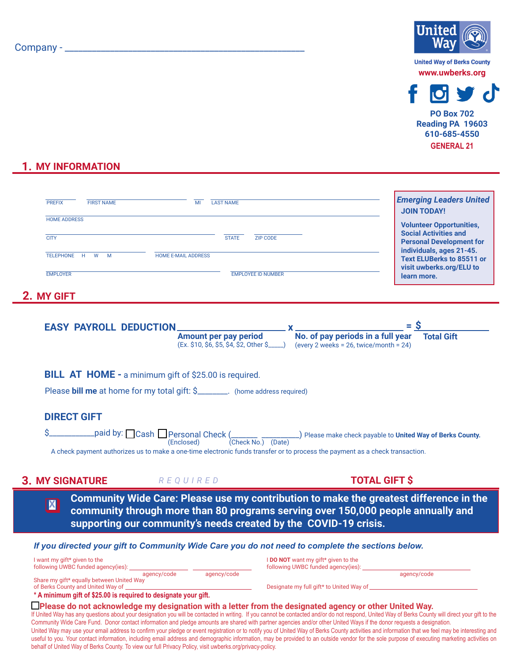## Company - \_\_\_\_\_\_\_\_\_\_\_\_\_\_\_\_\_\_\_\_\_\_\_\_\_\_\_\_\_\_\_\_\_\_\_\_\_\_\_\_\_\_\_\_\_\_\_\_\_\_\_\_\_



**www.uwberks.org**



**GENERAL 21 PO Box 702 Reading PA 19603 610-685-4550**

## **1. MY INFORMATION**

|                                                                                                                                                                                                                                                                                                                                                                                                                                                                                                                                                                                                                                                                                                                                                                                                                                                                                                                                                                                                              | <b>FIRST NAME</b><br>MI<br><b>LAST NAME</b><br><b>PREFIX</b>                                                                                                                                                                                                          |                                                                                                                                                                                                                                                                                                                                                                                                                              | <b>Emerging Leaders United</b><br><b>JOIN TODAY!</b>                                                                                                                                                          |  |
|--------------------------------------------------------------------------------------------------------------------------------------------------------------------------------------------------------------------------------------------------------------------------------------------------------------------------------------------------------------------------------------------------------------------------------------------------------------------------------------------------------------------------------------------------------------------------------------------------------------------------------------------------------------------------------------------------------------------------------------------------------------------------------------------------------------------------------------------------------------------------------------------------------------------------------------------------------------------------------------------------------------|-----------------------------------------------------------------------------------------------------------------------------------------------------------------------------------------------------------------------------------------------------------------------|------------------------------------------------------------------------------------------------------------------------------------------------------------------------------------------------------------------------------------------------------------------------------------------------------------------------------------------------------------------------------------------------------------------------------|---------------------------------------------------------------------------------------------------------------------------------------------------------------------------------------------------------------|--|
|                                                                                                                                                                                                                                                                                                                                                                                                                                                                                                                                                                                                                                                                                                                                                                                                                                                                                                                                                                                                              | <b>HOME ADDRESS</b><br><b>CITY</b><br><b>STATE</b><br><b>HOME E-MAIL ADDRESS</b><br>TELEPHONE H W M<br><b>EMPLOYER</b>                                                                                                                                                | <b>ZIP CODE</b><br><b>EMPLOYEE ID NUMBER</b>                                                                                                                                                                                                                                                                                                                                                                                 | <b>Volunteer Opportunities,</b><br><b>Social Activities and</b><br><b>Personal Development for</b><br>individuals, ages 21-45.<br><b>Text ELUBerks to 85511 or</b><br>visit uwberks.org/ELU to<br>learn more. |  |
|                                                                                                                                                                                                                                                                                                                                                                                                                                                                                                                                                                                                                                                                                                                                                                                                                                                                                                                                                                                                              | 2. MY GIFT                                                                                                                                                                                                                                                            |                                                                                                                                                                                                                                                                                                                                                                                                                              |                                                                                                                                                                                                               |  |
|                                                                                                                                                                                                                                                                                                                                                                                                                                                                                                                                                                                                                                                                                                                                                                                                                                                                                                                                                                                                              | <b>EASY PAYROLL DEDUCTION.</b><br><b>Amount per pay period</b>                                                                                                                                                                                                        | $\mathbf{X}$ and $\mathbf{X}$ and $\mathbf{X}$ and $\mathbf{X}$ and $\mathbf{X}$ and $\mathbf{X}$ and $\mathbf{X}$ and $\mathbf{X}$ and $\mathbf{X}$ and $\mathbf{X}$ and $\mathbf{X}$ and $\mathbf{X}$ and $\mathbf{X}$ and $\mathbf{X}$ and $\mathbf{X}$ and $\mathbf{X}$ and $\mathbf{X}$ and<br>No. of pay periods in a full year<br>(Ex. \$10, \$6, \$5, \$4, \$2, 0ther \$____) (every 2 weeks = 26, twice/month = 24) | $=$ \$<br><b>Total Gift</b>                                                                                                                                                                                   |  |
|                                                                                                                                                                                                                                                                                                                                                                                                                                                                                                                                                                                                                                                                                                                                                                                                                                                                                                                                                                                                              | <b>BILL AT HOME - a minimum gift of \$25.00 is required.</b><br>Please bill me at home for my total gift: \$________. (home address required)                                                                                                                         |                                                                                                                                                                                                                                                                                                                                                                                                                              |                                                                                                                                                                                                               |  |
|                                                                                                                                                                                                                                                                                                                                                                                                                                                                                                                                                                                                                                                                                                                                                                                                                                                                                                                                                                                                              | <b>DIRECT GIFT</b>                                                                                                                                                                                                                                                    |                                                                                                                                                                                                                                                                                                                                                                                                                              |                                                                                                                                                                                                               |  |
|                                                                                                                                                                                                                                                                                                                                                                                                                                                                                                                                                                                                                                                                                                                                                                                                                                                                                                                                                                                                              | paid by: Cash Personal Check (Casemal Check No.) (Date) Please make check payable to United Way of Berks County.<br>A check payment authorizes us to make a one-time electronic funds transfer or to process the payment as a check transaction.                      |                                                                                                                                                                                                                                                                                                                                                                                                                              |                                                                                                                                                                                                               |  |
|                                                                                                                                                                                                                                                                                                                                                                                                                                                                                                                                                                                                                                                                                                                                                                                                                                                                                                                                                                                                              | <b>3. MY SIGNATURE</b> REQUIRED                                                                                                                                                                                                                                       | <b>TOTAL GIFT \$</b>                                                                                                                                                                                                                                                                                                                                                                                                         |                                                                                                                                                                                                               |  |
|                                                                                                                                                                                                                                                                                                                                                                                                                                                                                                                                                                                                                                                                                                                                                                                                                                                                                                                                                                                                              | <b>Community Wide Care: Please use my contribution to make the greatest difference in the</b><br>$\mathbf{X}$<br>community through more than 80 programs serving over 150,000 people annually and<br>supporting our community's needs created by the COVID-19 crisis. |                                                                                                                                                                                                                                                                                                                                                                                                                              |                                                                                                                                                                                                               |  |
| If you directed your gift to Community Wide Care you do not need to complete the sections below.                                                                                                                                                                                                                                                                                                                                                                                                                                                                                                                                                                                                                                                                                                                                                                                                                                                                                                             |                                                                                                                                                                                                                                                                       |                                                                                                                                                                                                                                                                                                                                                                                                                              |                                                                                                                                                                                                               |  |
|                                                                                                                                                                                                                                                                                                                                                                                                                                                                                                                                                                                                                                                                                                                                                                                                                                                                                                                                                                                                              | I want my gift* given to the<br>following UWBC funded agency(ies): __<br>agency/code<br>agency/code                                                                                                                                                                   | I DO NOT want my gift* given to the<br>following UWBC funded agency(ies):                                                                                                                                                                                                                                                                                                                                                    | agency/code                                                                                                                                                                                                   |  |
|                                                                                                                                                                                                                                                                                                                                                                                                                                                                                                                                                                                                                                                                                                                                                                                                                                                                                                                                                                                                              | Share my gift* equally between United Way<br>of Berks County and United Way of ____________<br>* A minimum gift of \$25.00 is required to designate your gift.                                                                                                        |                                                                                                                                                                                                                                                                                                                                                                                                                              |                                                                                                                                                                                                               |  |
| $\Box$ Please do not acknowledge my designation with a letter from the designated agency or other United Way.<br>If United Way has any questions about your designation you will be contacted in writing. If you cannot be contacted and/or do not respond, United Way of Berks County will direct your gift to the<br>Community Wide Care Fund. Donor contact information and pledge amounts are shared with partner agencies and/or other United Ways if the donor requests a designation.<br>United Way may use your email address to confirm your pledge or event registration or to notify you of United Way of Berks County activities and information that we feel may be interesting and<br>useful to you. Your contact information, including email address and demographic information, may be provided to an outside vendor for the sole purpose of executing marketing activities on<br>behalf of United Way of Berks County. To view our full Privacy Policy, visit uwberks.org/privacy-policy. |                                                                                                                                                                                                                                                                       |                                                                                                                                                                                                                                                                                                                                                                                                                              |                                                                                                                                                                                                               |  |